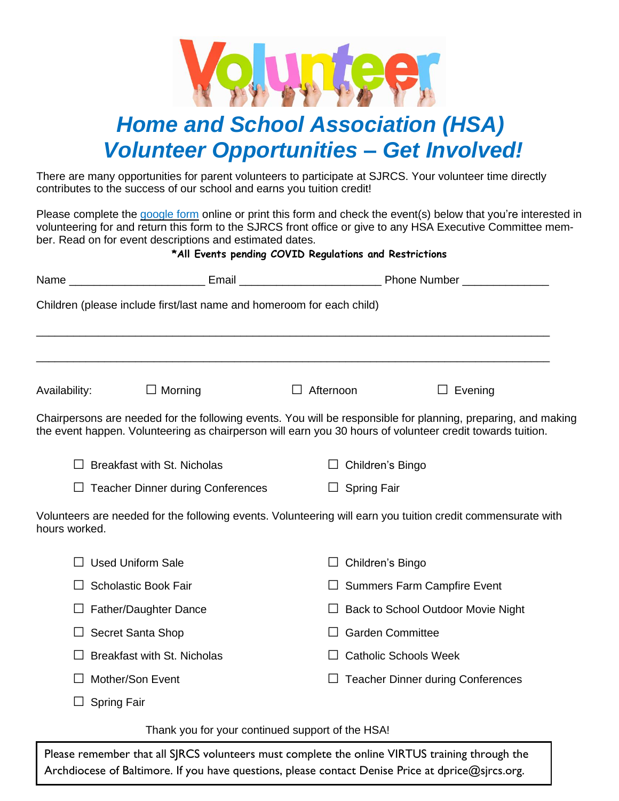

# *Home and School Association (HSA) Volunteer Opportunities – Get Involved!*

There are many opportunities for parent volunteers to participate at SJRCS. Your volunteer time directly contributes to the success of our school and earns you tuition credit!

Please complete the [google](https://forms.gle/1x2HCmbFbB93ZHAD7) form online or print this form and check the event(s) below that you're interested in volunteering for and return this form to the SJRCS front office or give to any HSA Executive Committee member. Read on for event descriptions and estimated dates.

# **\*All Events pending COVID Regulations and Restrictions**

|               | Children (please include first/last name and homeroom for each child)                                                                                                                                                      |                              |                                          |  |
|---------------|----------------------------------------------------------------------------------------------------------------------------------------------------------------------------------------------------------------------------|------------------------------|------------------------------------------|--|
|               | ,我们也不能在这里的,我们也不能在这里的,我们也不能不能不能不能不能不能不能不能不能不能不能不能。""我们的,我们也不能不能不能不能不能不能不能不能不能不能不能                                                                                                                                           |                              |                                          |  |
| Availability: | ■ Morning                                                                                                                                                                                                                  | Afternoon                    | Evening                                  |  |
|               | Chairpersons are needed for the following events. You will be responsible for planning, preparing, and making<br>the event happen. Volunteering as chairperson will earn you 30 hours of volunteer credit towards tuition. |                              |                                          |  |
|               | <b>Breakfast with St. Nicholas</b><br>Children's Bingo                                                                                                                                                                     |                              |                                          |  |
|               | <b>Teacher Dinner during Conferences</b>                                                                                                                                                                                   | <b>Spring Fair</b>           |                                          |  |
| hours worked. | Volunteers are needed for the following events. Volunteering will earn you tuition credit commensurate with                                                                                                                |                              |                                          |  |
|               | <b>Used Uniform Sale</b>                                                                                                                                                                                                   | Children's Bingo             |                                          |  |
|               | <b>Scholastic Book Fair</b><br><b>Summers Farm Campfire Event</b>                                                                                                                                                          |                              |                                          |  |
|               | <b>Father/Daughter Dance</b>                                                                                                                                                                                               |                              | Back to School Outdoor Movie Night       |  |
|               | Secret Santa Shop                                                                                                                                                                                                          |                              | <b>Garden Committee</b>                  |  |
|               | <b>Breakfast with St. Nicholas</b>                                                                                                                                                                                         | <b>Catholic Schools Week</b> |                                          |  |
|               | Mother/Son Event                                                                                                                                                                                                           |                              | <b>Teacher Dinner during Conferences</b> |  |
|               | <b>Spring Fair</b>                                                                                                                                                                                                         |                              |                                          |  |

Thank you for your continued support of the HSA!

Please remember that all SJRCS volunteers must complete the online VIRTUS training through the Archdiocese of Baltimore. If you have questions, please contact Denise Price at dprice@sjrcs.org.